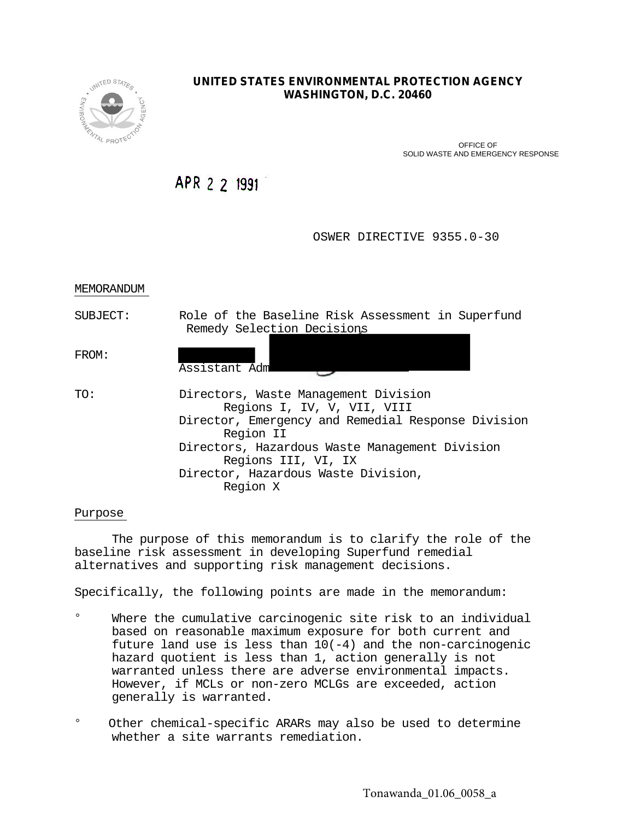

# **UNITED STATES ENVIRONMENTAL PROTECTION AGENCY WASHINGTON, D.C. 20460**

 OFFICE OF SOLID WASTE AND EMERGENCY RESPONSE

APR 2 2 1991

OSWER DIRECTIVE 9355.0-30

# MEMORANDUM

SUBJECT: Role of the Baseline Risk Assessment in Superfund Remedy Selection Decisions

FROM:

Assistant Adm TO: Directors, Waste Management Division Regions I, IV, V, VII, VIII Director, Emergency and Remedial Response Division Region II Directors, Hazardous Waste Management Division Regions III, VI, IX Director, Hazardous Waste Division, Region X

# Purpose

The purpose of this memorandum is to clarify the role of the baseline risk assessment in developing Superfund remedial alternatives and supporting risk management decisions.

Specifically, the following points are made in the memorandum:

- $\circ$ Where the cumulative carcinogenic site risk to an individual based on reasonable maximum exposure for both current and future land use is less than  $10(-4)$  and the non-carcinogenic hazard quotient is less than 1, action generally is not warranted unless there are adverse environmental impacts. However, if MCLs or non-zero MCLGs are exceeded, action generally is warranted.
- $\circ$  Other chemical-specific ARARs may also be used to determine whether a site warrants remediation.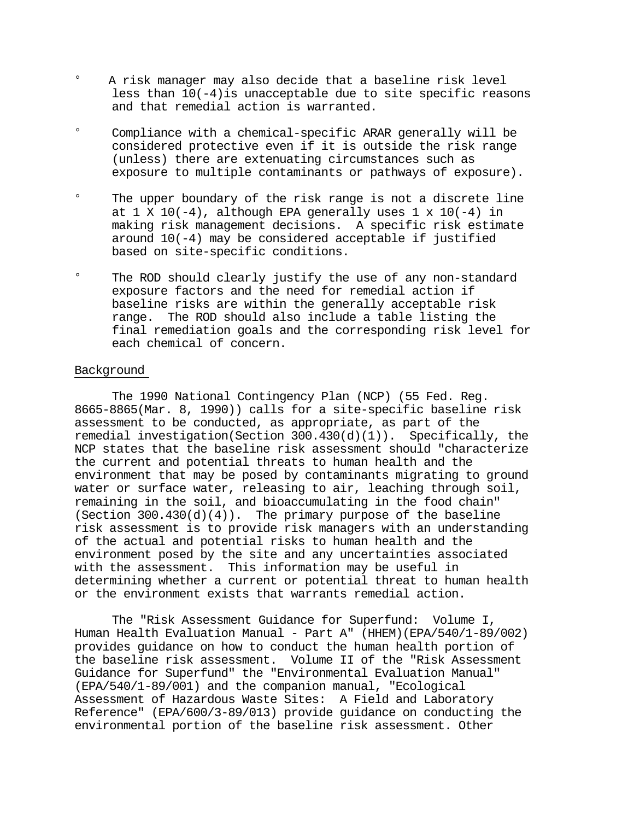- $\circ$  A risk manager may also decide that a baseline risk level less than  $10(-4)$  is unacceptable due to site specific reasons and that remedial action is warranted.
- $\circ$ Compliance with a chemical-specific ARAR generally will be considered protective even if it is outside the risk range (unless) there are extenuating circumstances such as exposure to multiple contaminants or pathways of exposure).
- $\circ$ The upper boundary of the risk range is not a discrete line at 1 X 10(-4), although EPA generally uses  $1 \times 10(-4)$  in making risk management decisions. A specific risk estimate around 10(-4) may be considered acceptable if justified based on site-specific conditions.
- $\circ$ The ROD should clearly justify the use of any non-standard exposure factors and the need for remedial action if baseline risks are within the generally acceptable risk range. The ROD should also include a table listing the final remediation goals and the corresponding risk level for each chemical of concern.

# Background

The 1990 National Contingency Plan (NCP) (55 Fed. Reg. 8665-8865(Mar. 8, 1990)) calls for a site-specific baseline risk assessment to be conducted, as appropriate, as part of the remedial investigation(Section 300.430 $(d)(1)$ ). Specifically, the NCP states that the baseline risk assessment should "characterize the current and potential threats to human health and the environment that may be posed by contaminants migrating to ground water or surface water, releasing to air, leaching through soil, remaining in the soil, and bioaccumulating in the food chain" (Section  $300.430(d)(4)$ ). The primary purpose of the baseline risk assessment is to provide risk managers with an understanding of the actual and potential risks to human health and the environment posed by the site and any uncertainties associated with the assessment. This information may be useful in determining whether a current or potential threat to human health or the environment exists that warrants remedial action.

The "Risk Assessment Guidance for Superfund: Volume I, Human Health Evaluation Manual - Part A" (HHEM)(EPA/540/1-89/002) provides guidance on how to conduct the human health portion of the baseline risk assessment. Volume II of the "Risk Assessment Guidance for Superfund" the "Environmental Evaluation Manual" (EPA/540/1-89/001) and the companion manual, "Ecological Assessment of Hazardous Waste Sites: A Field and Laboratory Reference" (EPA/600/3-89/013) provide guidance on conducting the environmental portion of the baseline risk assessment. Other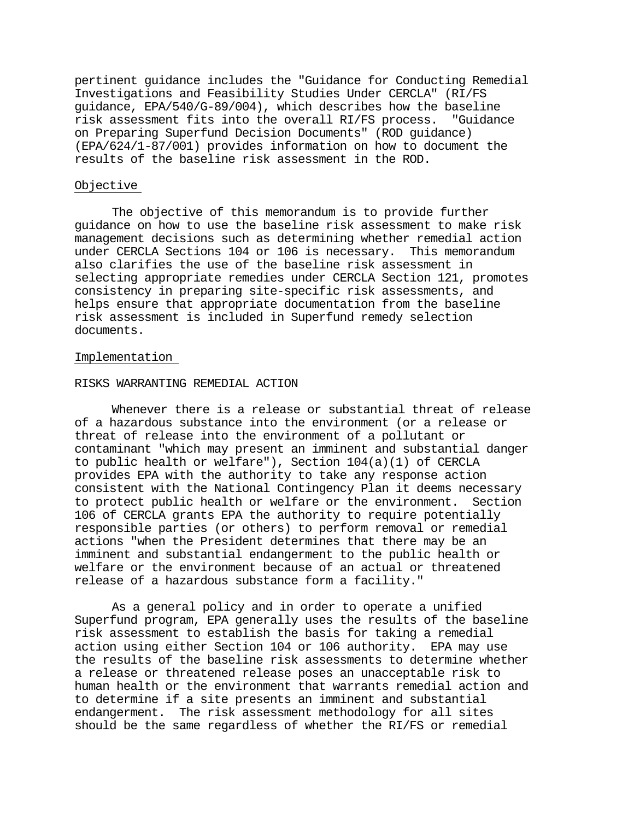pertinent guidance includes the "Guidance for Conducting Remedial Investigations and Feasibility Studies Under CERCLA" (RI/FS guidance, EPA/540/G-89/004), which describes how the baseline risk assessment fits into the overall RI/FS process. "Guidance on Preparing Superfund Decision Documents" (ROD guidance) (EPA/624/1-87/001) provides information on how to document the results of the baseline risk assessment in the ROD.

### Objective

The objective of this memorandum is to provide further guidance on how to use the baseline risk assessment to make risk management decisions such as determining whether remedial action under CERCLA Sections 104 or 106 is necessary. This memorandum also clarifies the use of the baseline risk assessment in selecting appropriate remedies under CERCLA Section 121, promotes consistency in preparing site-specific risk assessments, and helps ensure that appropriate documentation from the baseline risk assessment is included in Superfund remedy selection documents.

# Implementation

### RISKS WARRANTING REMEDIAL ACTION

Whenever there is a release or substantial threat of release of a hazardous substance into the environment (or a release or threat of release into the environment of a pollutant or contaminant "which may present an imminent and substantial danger to public health or welfare"), Section 104(a)(1) of CERCLA provides EPA with the authority to take any response action consistent with the National Contingency Plan it deems necessary to protect public health or welfare or the environment. Section 106 of CERCLA grants EPA the authority to require potentially responsible parties (or others) to perform removal or remedial actions "when the President determines that there may be an imminent and substantial endangerment to the public health or welfare or the environment because of an actual or threatened release of a hazardous substance form a facility."

As a general policy and in order to operate a unified Superfund program, EPA generally uses the results of the baseline risk assessment to establish the basis for taking a remedial action using either Section 104 or 106 authority. EPA may use the results of the baseline risk assessments to determine whether a release or threatened release poses an unacceptable risk to human health or the environment that warrants remedial action and to determine if a site presents an imminent and substantial endangerment. The risk assessment methodology for all sites should be the same regardless of whether the RI/FS or remedial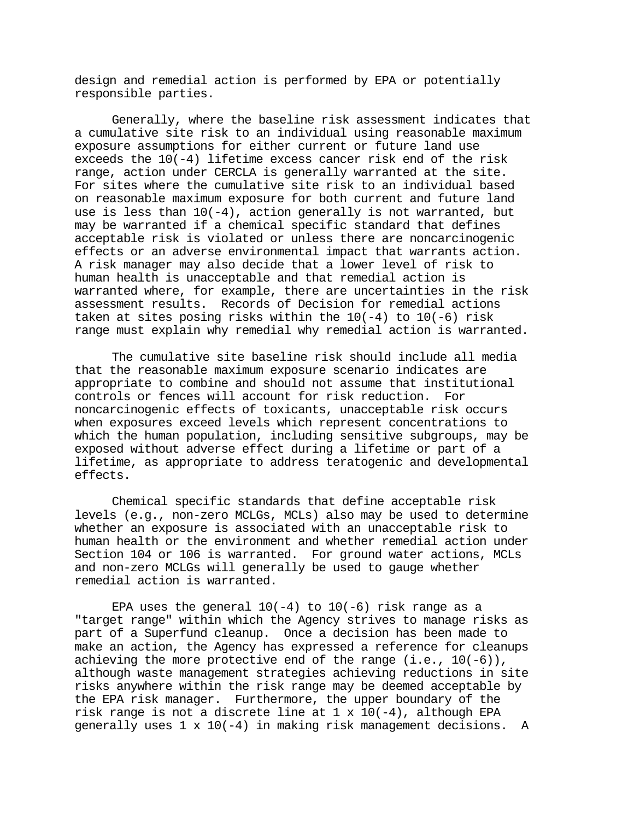design and remedial action is performed by EPA or potentially responsible parties.

Generally, where the baseline risk assessment indicates that a cumulative site risk to an individual using reasonable maximum exposure assumptions for either current or future land use exceeds the 10(-4) lifetime excess cancer risk end of the risk range, action under CERCLA is generally warranted at the site. For sites where the cumulative site risk to an individual based on reasonable maximum exposure for both current and future land use is less than  $10(-4)$ , action generally is not warranted, but may be warranted if a chemical specific standard that defines acceptable risk is violated or unless there are noncarcinogenic effects or an adverse environmental impact that warrants action. A risk manager may also decide that a lower level of risk to human health is unacceptable and that remedial action is warranted where, for example, there are uncertainties in the risk assessment results. Records of Decision for remedial actions taken at sites posing risks within the  $10(-4)$  to  $10(-6)$  risk range must explain why remedial why remedial action is warranted.

The cumulative site baseline risk should include all media that the reasonable maximum exposure scenario indicates are appropriate to combine and should not assume that institutional controls or fences will account for risk reduction. For noncarcinogenic effects of toxicants, unacceptable risk occurs when exposures exceed levels which represent concentrations to which the human population, including sensitive subgroups, may be exposed without adverse effect during a lifetime or part of a lifetime, as appropriate to address teratogenic and developmental effects.

Chemical specific standards that define acceptable risk levels (e.g., non-zero MCLGs, MCLs) also may be used to determine whether an exposure is associated with an unacceptable risk to human health or the environment and whether remedial action under Section 104 or 106 is warranted. For ground water actions, MCLs and non-zero MCLGs will generally be used to gauge whether remedial action is warranted.

EPA uses the general  $10(-4)$  to  $10(-6)$  risk range as a "target range" within which the Agency strives to manage risks as part of a Superfund cleanup. Once a decision has been made to make an action, the Agency has expressed a reference for cleanups achieving the more protective end of the range  $(i.e., 10(-6))$ , although waste management strategies achieving reductions in site risks anywhere within the risk range may be deemed acceptable by the EPA risk manager. Furthermore, the upper boundary of the risk range is not a discrete line at  $1 \times 10(-4)$ , although EPA generally uses  $1 \times 10(-4)$  in making risk management decisions. A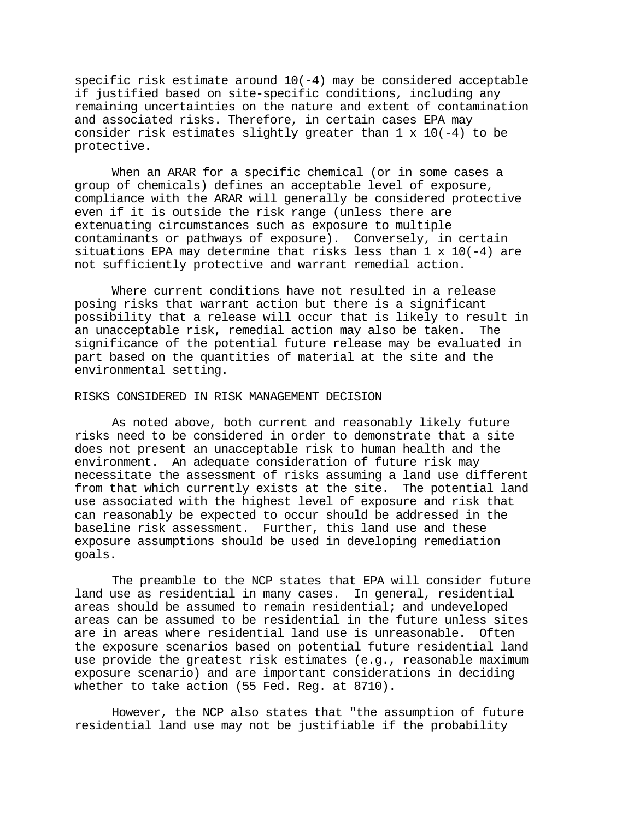specific risk estimate around  $10(-4)$  may be considered acceptable if justified based on site-specific conditions, including any remaining uncertainties on the nature and extent of contamination and associated risks. Therefore, in certain cases EPA may consider risk estimates slightly greater than  $1 \times 10(-4)$  to be protective.

When an ARAR for a specific chemical (or in some cases a group of chemicals) defines an acceptable level of exposure, compliance with the ARAR will generally be considered protective even if it is outside the risk range (unless there are extenuating circumstances such as exposure to multiple contaminants or pathways of exposure). Conversely, in certain situations EPA may determine that risks less than 1 x 10(-4) are not sufficiently protective and warrant remedial action.

Where current conditions have not resulted in a release posing risks that warrant action but there is a significant possibility that a release will occur that is likely to result in an unacceptable risk, remedial action may also be taken. The significance of the potential future release may be evaluated in part based on the quantities of material at the site and the environmental setting.

#### RISKS CONSIDERED IN RISK MANAGEMENT DECISION

As noted above, both current and reasonably likely future risks need to be considered in order to demonstrate that a site does not present an unacceptable risk to human health and the environment. An adequate consideration of future risk may necessitate the assessment of risks assuming a land use different from that which currently exists at the site. The potential land use associated with the highest level of exposure and risk that can reasonably be expected to occur should be addressed in the baseline risk assessment. Further, this land use and these exposure assumptions should be used in developing remediation goals.

The preamble to the NCP states that EPA will consider future land use as residential in many cases. In general, residential areas should be assumed to remain residential; and undeveloped areas can be assumed to be residential in the future unless sites are in areas where residential land use is unreasonable. Often the exposure scenarios based on potential future residential land use provide the greatest risk estimates (e.g., reasonable maximum exposure scenario) and are important considerations in deciding whether to take action (55 Fed. Reg. at 8710).

However, the NCP also states that "the assumption of future residential land use may not be justifiable if the probability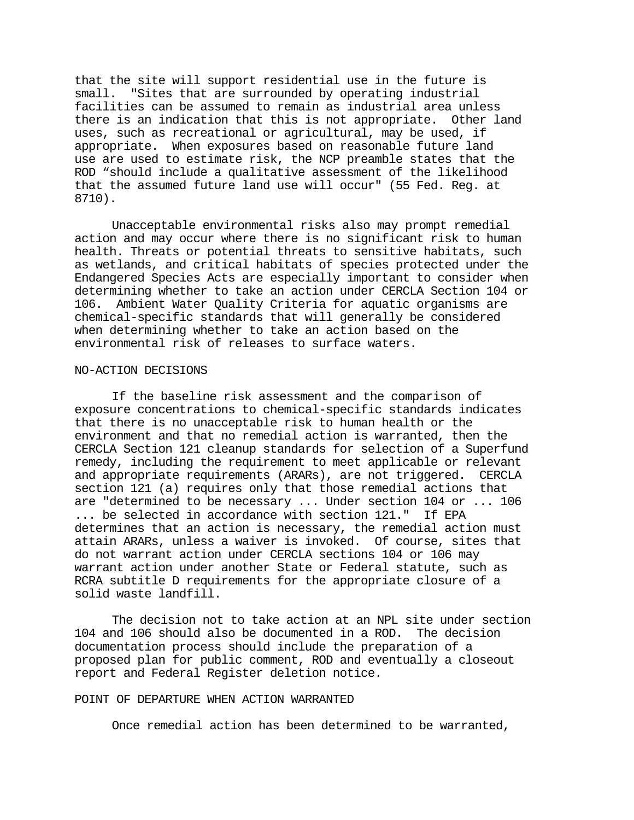that the site will support residential use in the future is small. "Sites that are surrounded by operating industrial facilities can be assumed to remain as industrial area unless there is an indication that this is not appropriate. Other land uses, such as recreational or agricultural, may be used, if appropriate. When exposures based on reasonable future land use are used to estimate risk, the NCP preamble states that the ROD "should include a qualitative assessment of the likelihood that the assumed future land use will occur" (55 Fed. Reg. at 8710).

Unacceptable environmental risks also may prompt remedial action and may occur where there is no significant risk to human health. Threats or potential threats to sensitive habitats, such as wetlands, and critical habitats of species protected under the Endangered Species Acts are especially important to consider when determining whether to take an action under CERCLA Section 104 or 106. Ambient Water Quality Criteria for aquatic organisms are chemical-specific standards that will generally be considered when determining whether to take an action based on the environmental risk of releases to surface waters.

### NO-ACTION DECISIONS

If the baseline risk assessment and the comparison of exposure concentrations to chemical-specific standards indicates that there is no unacceptable risk to human health or the environment and that no remedial action is warranted, then the CERCLA Section 121 cleanup standards for selection of a Superfund remedy, including the requirement to meet applicable or relevant and appropriate requirements (ARARs), are not triggered. CERCLA section 121 (a) requires only that those remedial actions that are "determined to be necessary ... Under section 104 or ... 106 ... be selected in accordance with section 121." If EPA determines that an action is necessary, the remedial action must attain ARARs, unless a waiver is invoked. Of course, sites that do not warrant action under CERCLA sections 104 or 106 may warrant action under another State or Federal statute, such as RCRA subtitle D requirements for the appropriate closure of a solid waste landfill.

The decision not to take action at an NPL site under section 104 and 106 should also be documented in a ROD. The decision documentation process should include the preparation of a proposed plan for public comment, ROD and eventually a closeout report and Federal Register deletion notice.

### POINT OF DEPARTURE WHEN ACTION WARRANTED

Once remedial action has been determined to be warranted,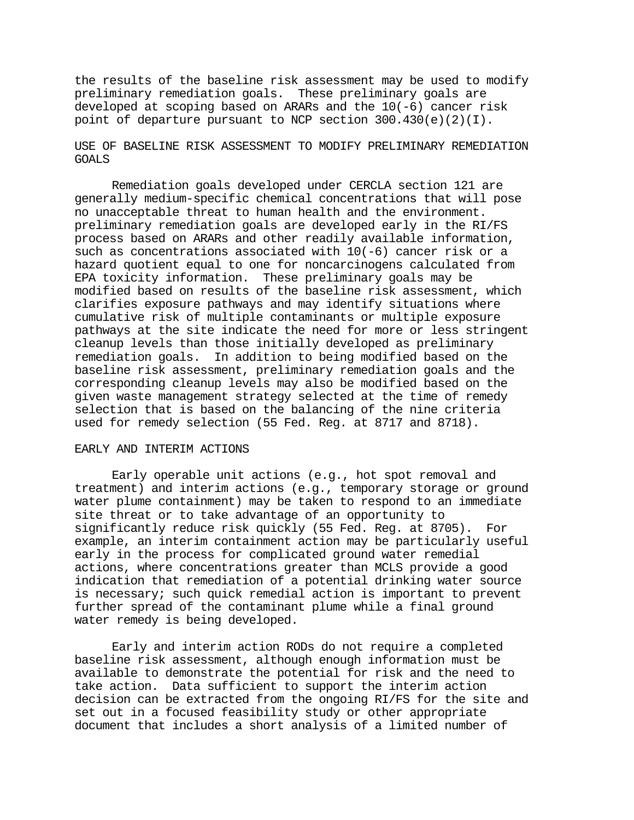the results of the baseline risk assessment may be used to modify preliminary remediation goals. These preliminary goals are developed at scoping based on ARARs and the 10(-6) cancer risk point of departure pursuant to NCP section 300.430(e)(2)(I).

# USE OF BASELINE RISK ASSESSMENT TO MODIFY PRELIMINARY REMEDIATION GOALS

Remediation goals developed under CERCLA section 121 are generally medium-specific chemical concentrations that will pose no unacceptable threat to human health and the environment. preliminary remediation goals are developed early in the RI/FS process based on ARARs and other readily available information, such as concentrations associated with  $10(-6)$  cancer risk or a hazard quotient equal to one for noncarcinogens calculated from EPA toxicity information. These preliminary goals may be modified based on results of the baseline risk assessment, which clarifies exposure pathways and may identify situations where cumulative risk of multiple contaminants or multiple exposure pathways at the site indicate the need for more or less stringent cleanup levels than those initially developed as preliminary remediation goals. In addition to being modified based on the baseline risk assessment, preliminary remediation goals and the corresponding cleanup levels may also be modified based on the given waste management strategy selected at the time of remedy selection that is based on the balancing of the nine criteria used for remedy selection (55 Fed. Reg. at 8717 and 8718).

# EARLY AND INTERIM ACTIONS

Early operable unit actions (e.g., hot spot removal and treatment) and interim actions (e.g., temporary storage or ground water plume containment) may be taken to respond to an immediate site threat or to take advantage of an opportunity to significantly reduce risk quickly (55 Fed. Reg. at 8705). For example, an interim containment action may be particularly useful early in the process for complicated ground water remedial actions, where concentrations greater than MCLS provide a good indication that remediation of a potential drinking water source is necessary; such quick remedial action is important to prevent further spread of the contaminant plume while a final ground water remedy is being developed.

Early and interim action RODs do not require a completed baseline risk assessment, although enough information must be available to demonstrate the potential for risk and the need to take action. Data sufficient to support the interim action decision can be extracted from the ongoing RI/FS for the site and set out in a focused feasibility study or other appropriate document that includes a short analysis of a limited number of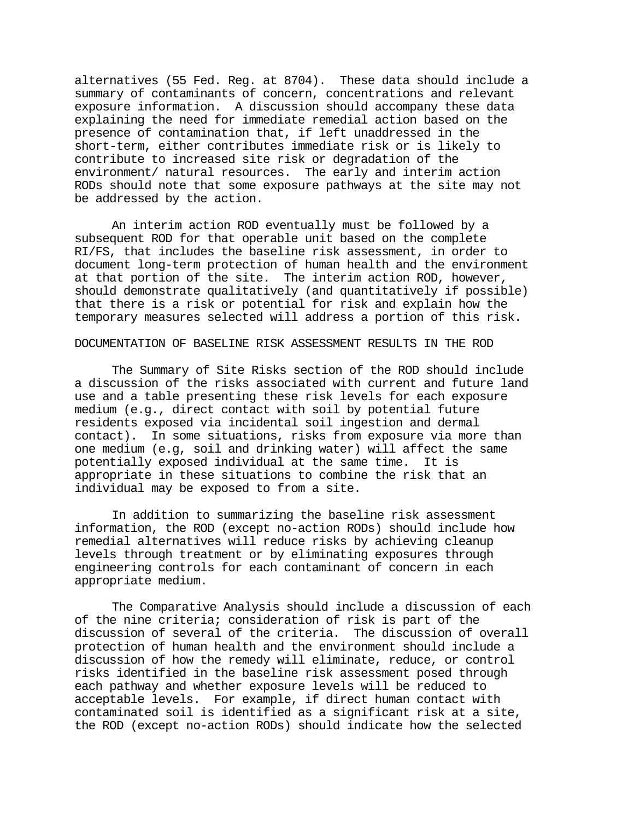alternatives (55 Fed. Reg. at 8704). These data should include a summary of contaminants of concern, concentrations and relevant exposure information. A discussion should accompany these data explaining the need for immediate remedial action based on the presence of contamination that, if left unaddressed in the short-term, either contributes immediate risk or is likely to contribute to increased site risk or degradation of the environment/ natural resources. The early and interim action RODs should note that some exposure pathways at the site may not be addressed by the action.

An interim action ROD eventually must be followed by a subsequent ROD for that operable unit based on the complete RI/FS, that includes the baseline risk assessment, in order to document long-term protection of human health and the environment at that portion of the site. The interim action ROD, however, should demonstrate qualitatively (and quantitatively if possible) that there is a risk or potential for risk and explain how the temporary measures selected will address a portion of this risk.

### DOCUMENTATION OF BASELINE RISK ASSESSMENT RESULTS IN THE ROD

The Summary of Site Risks section of the ROD should include a discussion of the risks associated with current and future land use and a table presenting these risk levels for each exposure medium (e.g., direct contact with soil by potential future residents exposed via incidental soil ingestion and dermal contact). In some situations, risks from exposure via more than one medium (e.g, soil and drinking water) will affect the same potentially exposed individual at the same time. It is appropriate in these situations to combine the risk that an individual may be exposed to from a site.

In addition to summarizing the baseline risk assessment information, the ROD (except no-action RODs) should include how remedial alternatives will reduce risks by achieving cleanup levels through treatment or by eliminating exposures through engineering controls for each contaminant of concern in each appropriate medium.

The Comparative Analysis should include a discussion of each of the nine criteria; consideration of risk is part of the discussion of several of the criteria. The discussion of overall protection of human health and the environment should include a discussion of how the remedy will eliminate, reduce, or control risks identified in the baseline risk assessment posed through each pathway and whether exposure levels will be reduced to acceptable levels. For example, if direct human contact with contaminated soil is identified as a significant risk at a site, the ROD (except no-action RODs) should indicate how the selected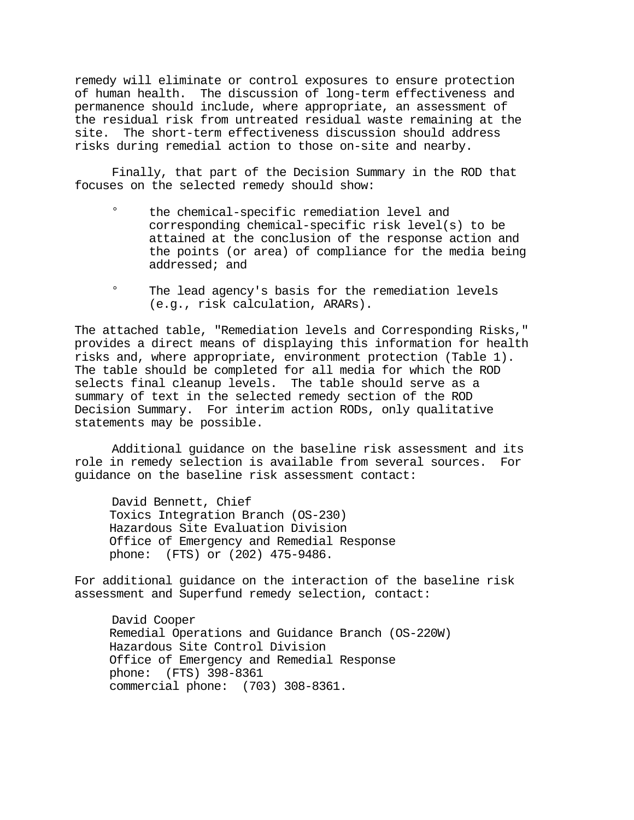remedy will eliminate or control exposures to ensure protection of human health. The discussion of long-term effectiveness and permanence should include, where appropriate, an assessment of the residual risk from untreated residual waste remaining at the site. The short-term effectiveness discussion should address risks during remedial action to those on-site and nearby.

Finally, that part of the Decision Summary in the ROD that focuses on the selected remedy should show:

- $\circ$ the chemical-specific remediation level and corresponding chemical-specific risk level(s) to be attained at the conclusion of the response action and the points (or area) of compliance for the media being addressed; and
- $\circ$ The lead agency's basis for the remediation levels (e.g., risk calculation, ARARs).

The attached table, "Remediation levels and Corresponding Risks," provides a direct means of displaying this information for health risks and, where appropriate, environment protection (Table 1). The table should be completed for all media for which the ROD selects final cleanup levels. The table should serve as a summary of text in the selected remedy section of the ROD Decision Summary. For interim action RODs, only qualitative statements may be possible.

Additional guidance on the baseline risk assessment and its role in remedy selection is available from several sources. For guidance on the baseline risk assessment contact:

David Bennett, Chief Toxics Integration Branch (OS-230) Hazardous Site Evaluation Division Office of Emergency and Remedial Response phone: (FTS) or (202) 475-9486.

For additional guidance on the interaction of the baseline risk assessment and Superfund remedy selection, contact:

David Cooper Remedial Operations and Guidance Branch (OS-220W) Hazardous Site Control Division Office of Emergency and Remedial Response phone: (FTS) 398-8361 commercial phone: (703) 308-8361.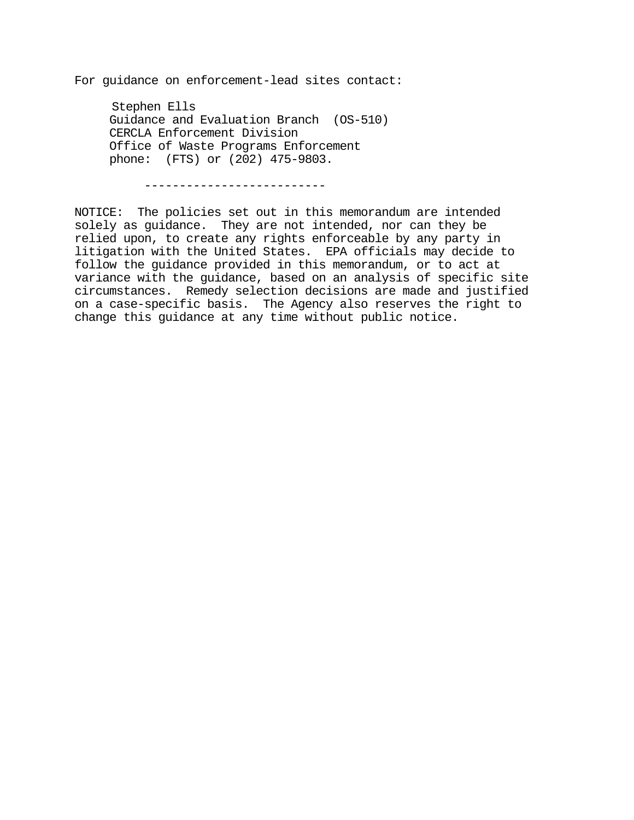For guidance on enforcement-lead sites contact:

Stephen Ells Guidance and Evaluation Branch (OS-510) CERCLA Enforcement Division Office of Waste Programs Enforcement phone: (FTS) or (202) 475-9803.

-------------------------

NOTICE: The policies set out in this memorandum are intended solely as guidance. They are not intended, nor can they be relied upon, to create any rights enforceable by any party in litigation with the United States. EPA officials may decide to follow the guidance provided in this memorandum, or to act at variance with the guidance, based on an analysis of specific site circumstances. Remedy selection decisions are made and justified on a case-specific basis. The Agency also reserves the right to change this guidance at any time without public notice.